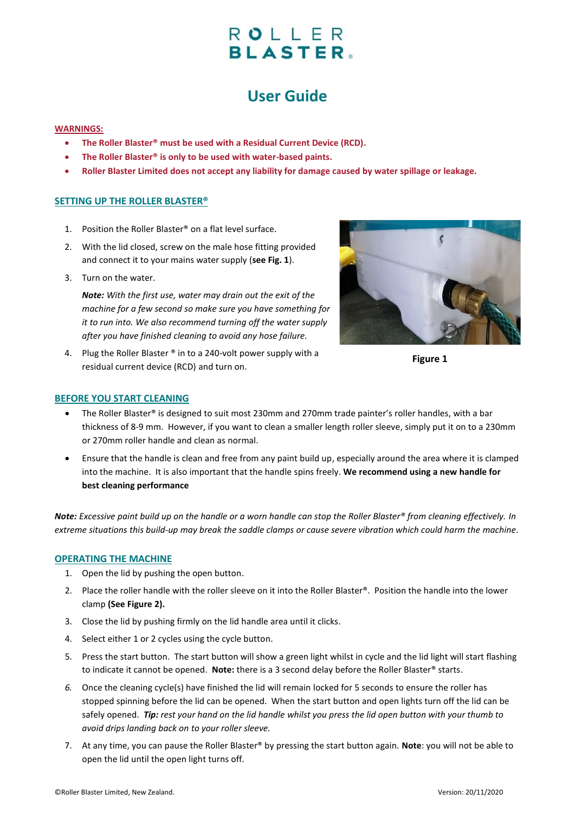# ROLLER **BLASTER.**

## **User Guide**

#### **WARNINGS:**

- **The Roller Blaster® must be used with a Residual Current Device (RCD).**
- **The Roller Blaster® is only to be used with water-based paints.**
- **Roller Blaster Limited does not accept any liability for damage caused by water spillage or leakage.**

### **SETTING UP THE ROLLER BLASTER®**

- 1. Position the Roller Blaster® on a flat level surface.
- 2. With the lid closed, screw on the male hose fitting provided and connect it to your mains water supply (**see Fig. 1**).
- 3. Turn on the water.

*Note: With the first use, water may drain out the exit of the machine for a few second so make sure you have something for it to run into. We also recommend turning off the water supply after you have finished cleaning to avoid any hose failure.*

4. Plug the Roller Blaster ® in to a 240-volt power supply with a residual current device (RCD) and turn on.



**Figure 1**

#### **BEFORE YOU START CLEANING**

- The Roller Blaster® is designed to suit most 230mm and 270mm trade painter's roller handles, with a bar thickness of 8-9 mm. However, if you want to clean a smaller length roller sleeve, simply put it on to a 230mm or 270mm roller handle and clean as normal.
- Ensure that the handle is clean and free from any paint build up, especially around the area where it is clamped into the machine. It is also important that the handle spins freely. **We recommend using a new handle for best cleaning performance**

*Note: Excessive paint build up on the handle or a worn handle can stop the Roller Blaster® from cleaning effectively. In extreme situations this build-up may break the saddle clamps or cause severe vibration which could harm the machine*.

#### **OPERATING THE MACHINE**

- 1. Open the lid by pushing the open button.
- 2. Place the roller handle with the roller sleeve on it into the Roller Blaster®. Position the handle into the lower clamp **(See Figure 2).**
- 3. Close the lid by pushing firmly on the lid handle area until it clicks.
- 4. Select either 1 or 2 cycles using the cycle button.
- 5. Press the start button. The start button will show a green light whilst in cycle and the lid light will start flashing to indicate it cannot be opened. **Note:** there is a 3 second delay before the Roller Blaster® starts.
- *6.* Once the cleaning cycle(s) have finished the lid will remain locked for 5 seconds to ensure the roller has stopped spinning before the lid can be opened. When the start button and open lights turn off the lid can be safely opened. *Tip: rest your hand on the lid handle whilst you press the lid open button with your thumb to avoid drips landing back on to your roller sleeve.*
- 7. At any time, you can pause the Roller Blaster® by pressing the start button again. **Note**: you will not be able to open the lid until the open light turns off.